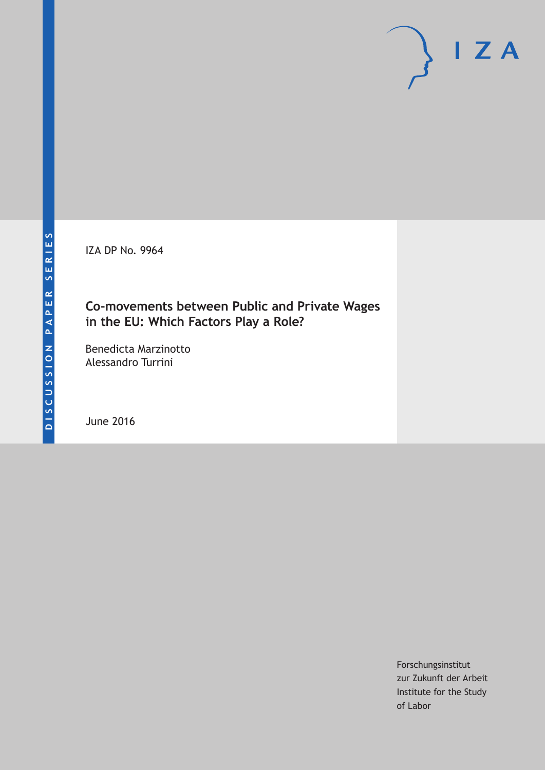IZA DP No. 9964

### **Co-movements between Public and Private Wages in the EU: Which Factors Play a Role?**

Benedicta Marzinotto Alessandro Turrini

June 2016

Forschungsinstitut zur Zukunft der Arbeit Institute for the Study of Labor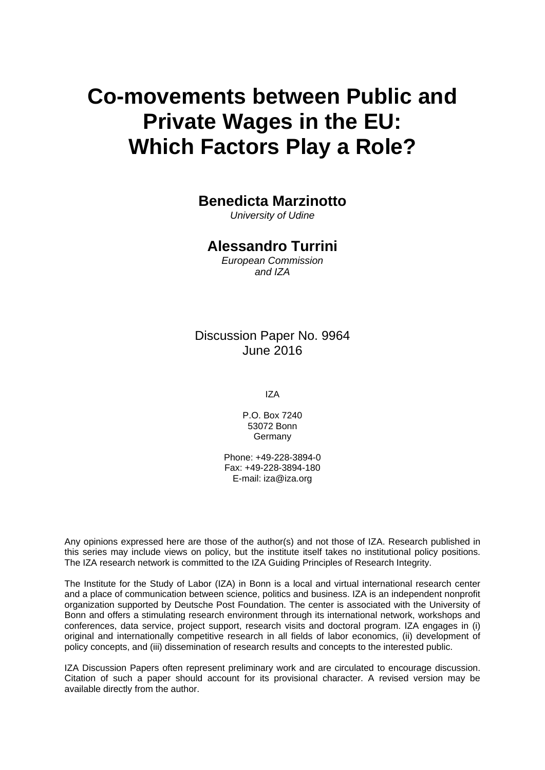# **Co-movements between Public and Private Wages in the EU: Which Factors Play a Role?**

### **Benedicta Marzinotto**

*University of Udine* 

### **Alessandro Turrini**

*European Commission and IZA* 

### Discussion Paper No. 9964 June 2016

IZA

P.O. Box 7240 53072 Bonn Germany

Phone: +49-228-3894-0 Fax: +49-228-3894-180 E-mail: iza@iza.org

Any opinions expressed here are those of the author(s) and not those of IZA. Research published in this series may include views on policy, but the institute itself takes no institutional policy positions. The IZA research network is committed to the IZA Guiding Principles of Research Integrity.

The Institute for the Study of Labor (IZA) in Bonn is a local and virtual international research center and a place of communication between science, politics and business. IZA is an independent nonprofit organization supported by Deutsche Post Foundation. The center is associated with the University of Bonn and offers a stimulating research environment through its international network, workshops and conferences, data service, project support, research visits and doctoral program. IZA engages in (i) original and internationally competitive research in all fields of labor economics, (ii) development of policy concepts, and (iii) dissemination of research results and concepts to the interested public.

IZA Discussion Papers often represent preliminary work and are circulated to encourage discussion. Citation of such a paper should account for its provisional character. A revised version may be available directly from the author.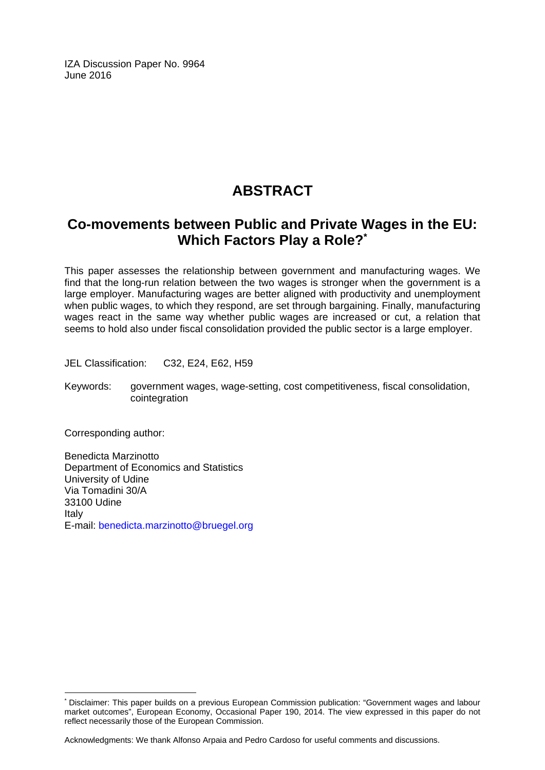IZA Discussion Paper No. 9964 June 2016

# **ABSTRACT**

## **Co-movements between Public and Private Wages in the EU: Which Factors Play a Role?\***

This paper assesses the relationship between government and manufacturing wages. We find that the long-run relation between the two wages is stronger when the government is a large employer. Manufacturing wages are better aligned with productivity and unemployment when public wages, to which they respond, are set through bargaining. Finally, manufacturing wages react in the same way whether public wages are increased or cut, a relation that seems to hold also under fiscal consolidation provided the public sector is a large employer.

JEL Classification: C32, E24, E62, H59

Keywords: government wages, wage-setting, cost competitiveness, fiscal consolidation, cointegration

Corresponding author:

 $\overline{a}$ 

Benedicta Marzinotto Department of Economics and Statistics University of Udine Via Tomadini 30/A 33100 Udine Italy E-mail: benedicta.marzinotto@bruegel.org

Acknowledgments: We thank Alfonso Arpaia and Pedro Cardoso for useful comments and discussions.

<sup>\*</sup> Disclaimer: This paper builds on a previous European Commission publication: "Government wages and labour market outcomes", European Economy, Occasional Paper 190, 2014. The view expressed in this paper do not reflect necessarily those of the European Commission.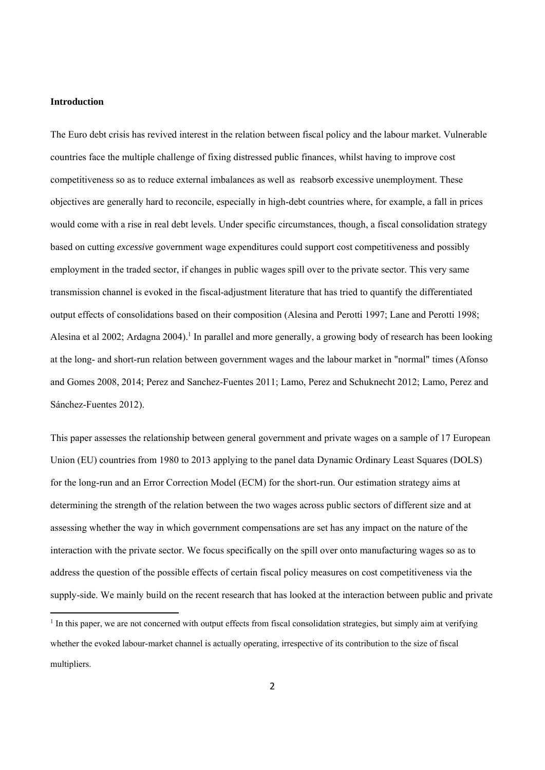#### **Introduction**

The Euro debt crisis has revived interest in the relation between fiscal policy and the labour market. Vulnerable countries face the multiple challenge of fixing distressed public finances, whilst having to improve cost competitiveness so as to reduce external imbalances as well as reabsorb excessive unemployment. These objectives are generally hard to reconcile, especially in high-debt countries where, for example, a fall in prices would come with a rise in real debt levels. Under specific circumstances, though, a fiscal consolidation strategy based on cutting *excessive* government wage expenditures could support cost competitiveness and possibly employment in the traded sector, if changes in public wages spill over to the private sector. This very same transmission channel is evoked in the fiscal-adjustment literature that has tried to quantify the differentiated output effects of consolidations based on their composition (Alesina and Perotti 1997; Lane and Perotti 1998; Alesina et al 2002; Ardagna 2004).<sup>1</sup> In parallel and more generally, a growing body of research has been looking at the long- and short-run relation between government wages and the labour market in "normal" times (Afonso and Gomes 2008, 2014; Perez and Sanchez-Fuentes 2011; Lamo, Perez and Schuknecht 2012; Lamo, Perez and Sánchez-Fuentes 2012).

This paper assesses the relationship between general government and private wages on a sample of 17 European Union (EU) countries from 1980 to 2013 applying to the panel data Dynamic Ordinary Least Squares (DOLS) for the long-run and an Error Correction Model (ECM) for the short-run. Our estimation strategy aims at determining the strength of the relation between the two wages across public sectors of different size and at assessing whether the way in which government compensations are set has any impact on the nature of the interaction with the private sector. We focus specifically on the spill over onto manufacturing wages so as to address the question of the possible effects of certain fiscal policy measures on cost competitiveness via the supply-side. We mainly build on the recent research that has looked at the interaction between public and private

<sup>&</sup>lt;sup>1</sup> In this paper, we are not concerned with output effects from fiscal consolidation strategies, but simply aim at verifying whether the evoked labour-market channel is actually operating, irrespective of its contribution to the size of fiscal multipliers.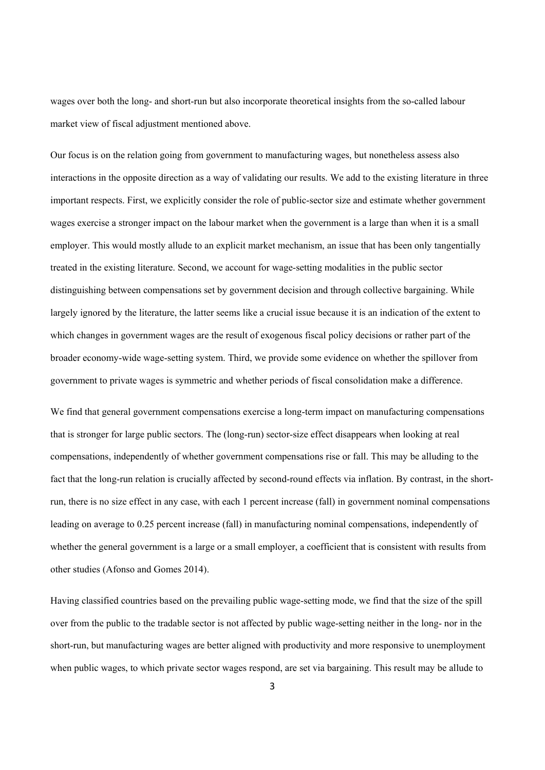wages over both the long- and short-run but also incorporate theoretical insights from the so-called labour market view of fiscal adjustment mentioned above.

Our focus is on the relation going from government to manufacturing wages, but nonetheless assess also interactions in the opposite direction as a way of validating our results. We add to the existing literature in three important respects. First, we explicitly consider the role of public-sector size and estimate whether government wages exercise a stronger impact on the labour market when the government is a large than when it is a small employer. This would mostly allude to an explicit market mechanism, an issue that has been only tangentially treated in the existing literature. Second, we account for wage-setting modalities in the public sector distinguishing between compensations set by government decision and through collective bargaining. While largely ignored by the literature, the latter seems like a crucial issue because it is an indication of the extent to which changes in government wages are the result of exogenous fiscal policy decisions or rather part of the broader economy-wide wage-setting system. Third, we provide some evidence on whether the spillover from government to private wages is symmetric and whether periods of fiscal consolidation make a difference.

We find that general government compensations exercise a long-term impact on manufacturing compensations that is stronger for large public sectors. The (long-run) sector-size effect disappears when looking at real compensations, independently of whether government compensations rise or fall. This may be alluding to the fact that the long-run relation is crucially affected by second-round effects via inflation. By contrast, in the shortrun, there is no size effect in any case, with each 1 percent increase (fall) in government nominal compensations leading on average to 0.25 percent increase (fall) in manufacturing nominal compensations, independently of whether the general government is a large or a small employer, a coefficient that is consistent with results from other studies (Afonso and Gomes 2014).

Having classified countries based on the prevailing public wage-setting mode, we find that the size of the spill over from the public to the tradable sector is not affected by public wage-setting neither in the long- nor in the short-run, but manufacturing wages are better aligned with productivity and more responsive to unemployment when public wages, to which private sector wages respond, are set via bargaining. This result may be allude to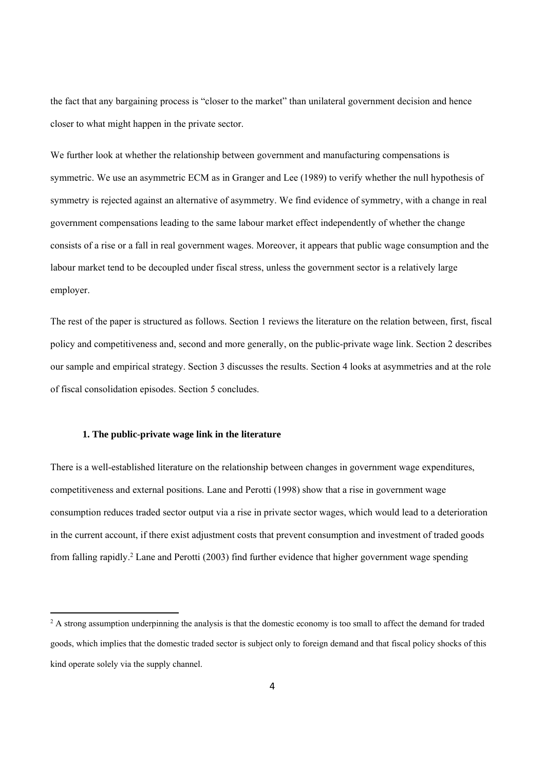the fact that any bargaining process is "closer to the market" than unilateral government decision and hence closer to what might happen in the private sector.

We further look at whether the relationship between government and manufacturing compensations is symmetric. We use an asymmetric ECM as in Granger and Lee (1989) to verify whether the null hypothesis of symmetry is rejected against an alternative of asymmetry. We find evidence of symmetry, with a change in real government compensations leading to the same labour market effect independently of whether the change consists of a rise or a fall in real government wages. Moreover, it appears that public wage consumption and the labour market tend to be decoupled under fiscal stress, unless the government sector is a relatively large employer.

The rest of the paper is structured as follows. Section 1 reviews the literature on the relation between, first, fiscal policy and competitiveness and, second and more generally, on the public-private wage link. Section 2 describes our sample and empirical strategy. Section 3 discusses the results. Section 4 looks at asymmetries and at the role of fiscal consolidation episodes. Section 5 concludes.

#### **1. The public-private wage link in the literature**

There is a well-established literature on the relationship between changes in government wage expenditures, competitiveness and external positions. Lane and Perotti (1998) show that a rise in government wage consumption reduces traded sector output via a rise in private sector wages, which would lead to a deterioration in the current account, if there exist adjustment costs that prevent consumption and investment of traded goods from falling rapidly.<sup>2</sup> Lane and Perotti (2003) find further evidence that higher government wage spending

<sup>&</sup>lt;sup>2</sup> A strong assumption underpinning the analysis is that the domestic economy is too small to affect the demand for traded goods, which implies that the domestic traded sector is subject only to foreign demand and that fiscal policy shocks of this kind operate solely via the supply channel.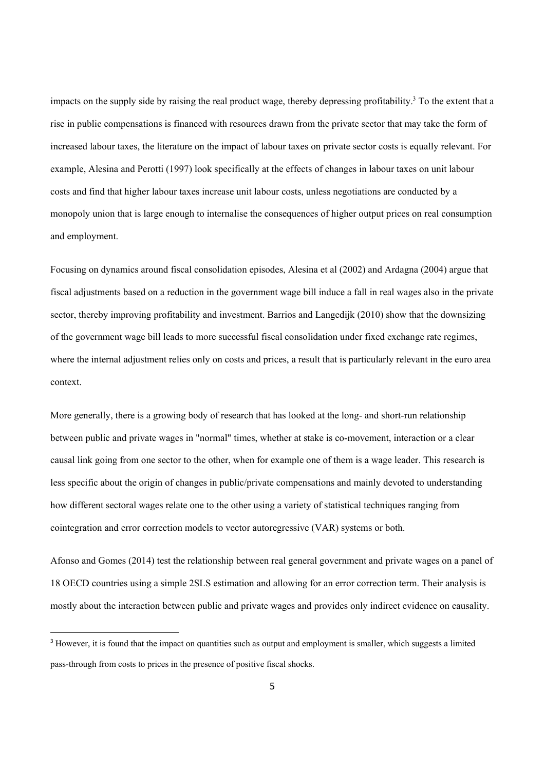impacts on the supply side by raising the real product wage, thereby depressing profitability.<sup>3</sup> To the extent that a rise in public compensations is financed with resources drawn from the private sector that may take the form of increased labour taxes, the literature on the impact of labour taxes on private sector costs is equally relevant. For example, Alesina and Perotti (1997) look specifically at the effects of changes in labour taxes on unit labour costs and find that higher labour taxes increase unit labour costs, unless negotiations are conducted by a monopoly union that is large enough to internalise the consequences of higher output prices on real consumption and employment.

Focusing on dynamics around fiscal consolidation episodes, Alesina et al (2002) and Ardagna (2004) argue that fiscal adjustments based on a reduction in the government wage bill induce a fall in real wages also in the private sector, thereby improving profitability and investment. Barrios and Langedijk (2010) show that the downsizing of the government wage bill leads to more successful fiscal consolidation under fixed exchange rate regimes, where the internal adjustment relies only on costs and prices, a result that is particularly relevant in the euro area context.

More generally, there is a growing body of research that has looked at the long- and short-run relationship between public and private wages in "normal" times, whether at stake is co-movement, interaction or a clear causal link going from one sector to the other, when for example one of them is a wage leader. This research is less specific about the origin of changes in public/private compensations and mainly devoted to understanding how different sectoral wages relate one to the other using a variety of statistical techniques ranging from cointegration and error correction models to vector autoregressive (VAR) systems or both.

Afonso and Gomes (2014) test the relationship between real general government and private wages on a panel of 18 OECD countries using a simple 2SLS estimation and allowing for an error correction term. Their analysis is mostly about the interaction between public and private wages and provides only indirect evidence on causality.

<sup>&</sup>lt;sup>3</sup> However, it is found that the impact on quantities such as output and employment is smaller, which suggests a limited pass-through from costs to prices in the presence of positive fiscal shocks.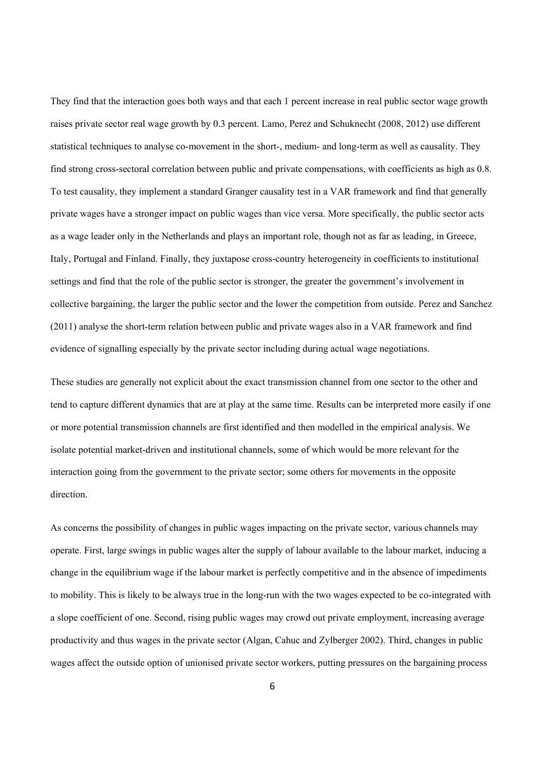They find that the interaction goes both ways and that each 1 percent increase in real public sector wage growth raises private sector real wage growth by 0.3 percent. Lamo, Perez and Schuknecht (2008, 2012) use different statistical techniques to analyse co-movement in the short-, medium- and long-term as well as causality. They find strong cross-sectoral correlation between public and private compensations, with coefficients as high as 0.8. To test causality, they implement a standard Granger causality test in a VAR framework and find that generally private wages have a stronger impact on public wages than vice versa. More specifically, the public sector acts as a wage leader only in the Netherlands and plays an important role, though not as far as leading, in Greece, Italy, Portugal and Finland. Finally, they juxtapose cross-country heterogeneity in coefficients to institutional settings and find that the role of the public sector is stronger, the greater the government's involvement in collective bargaining, the larger the public sector and the lower the competition from outside. Perez and Sanchez (2011) analyse the short-term relation between public and private wages also in a VAR framework and find evidence of signalling especially by the private sector including during actual wage negotiations.

These studies are generally not explicit about the exact transmission channel from one sector to the other and tend to capture different dynamics that are at play at the same time. Results can be interpreted more easily if one or more potential transmission channels are first identified and then modelled in the empirical analysis. We isolate potential market-driven and institutional channels, some of which would be more relevant for the interaction going from the government to the private sector; some others for movements in the opposite direction.

As concerns the possibility of changes in public wages impacting on the private sector, various channels may operate. First, large swings in public wages alter the supply of labour available to the labour market, inducing a change in the equilibrium wage if the labour market is perfectly competitive and in the absence of impediments to mobility. This is likely to be always true in the long-run with the two wages expected to be co-integrated with a slope coefficient of one. Second, rising public wages may crowd out private employment, increasing average productivity and thus wages in the private sector (Algan, Cahuc and Zylberger 2002). Third, changes in public wages affect the outside option of unionised private sector workers, putting pressures on the bargaining process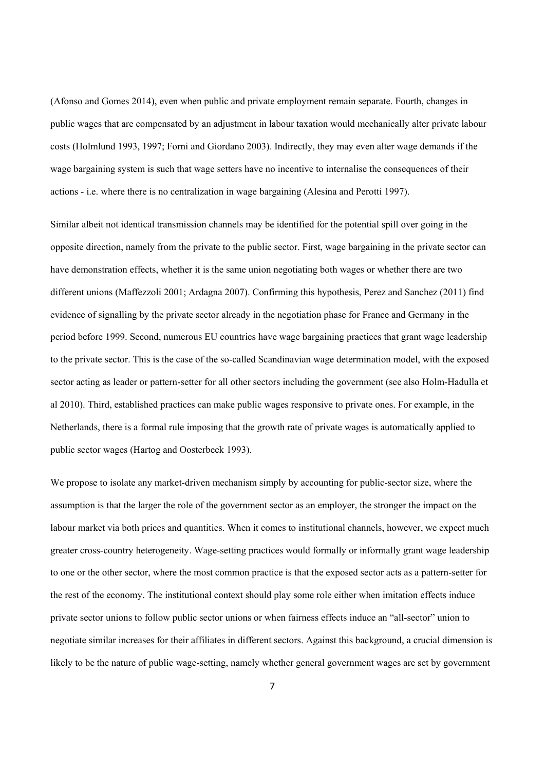(Afonso and Gomes 2014), even when public and private employment remain separate. Fourth, changes in public wages that are compensated by an adjustment in labour taxation would mechanically alter private labour costs (Holmlund 1993, 1997; Forni and Giordano 2003). Indirectly, they may even alter wage demands if the wage bargaining system is such that wage setters have no incentive to internalise the consequences of their actions - i.e. where there is no centralization in wage bargaining (Alesina and Perotti 1997).

Similar albeit not identical transmission channels may be identified for the potential spill over going in the opposite direction, namely from the private to the public sector. First, wage bargaining in the private sector can have demonstration effects, whether it is the same union negotiating both wages or whether there are two different unions (Maffezzoli 2001; Ardagna 2007). Confirming this hypothesis, Perez and Sanchez (2011) find evidence of signalling by the private sector already in the negotiation phase for France and Germany in the period before 1999. Second, numerous EU countries have wage bargaining practices that grant wage leadership to the private sector. This is the case of the so-called Scandinavian wage determination model, with the exposed sector acting as leader or pattern-setter for all other sectors including the government (see also Holm-Hadulla et al 2010). Third, established practices can make public wages responsive to private ones. For example, in the Netherlands, there is a formal rule imposing that the growth rate of private wages is automatically applied to public sector wages (Hartog and Oosterbeek 1993).

We propose to isolate any market-driven mechanism simply by accounting for public-sector size, where the assumption is that the larger the role of the government sector as an employer, the stronger the impact on the labour market via both prices and quantities. When it comes to institutional channels, however, we expect much greater cross-country heterogeneity. Wage-setting practices would formally or informally grant wage leadership to one or the other sector, where the most common practice is that the exposed sector acts as a pattern-setter for the rest of the economy. The institutional context should play some role either when imitation effects induce private sector unions to follow public sector unions or when fairness effects induce an "all-sector" union to negotiate similar increases for their affiliates in different sectors. Against this background, a crucial dimension is likely to be the nature of public wage-setting, namely whether general government wages are set by government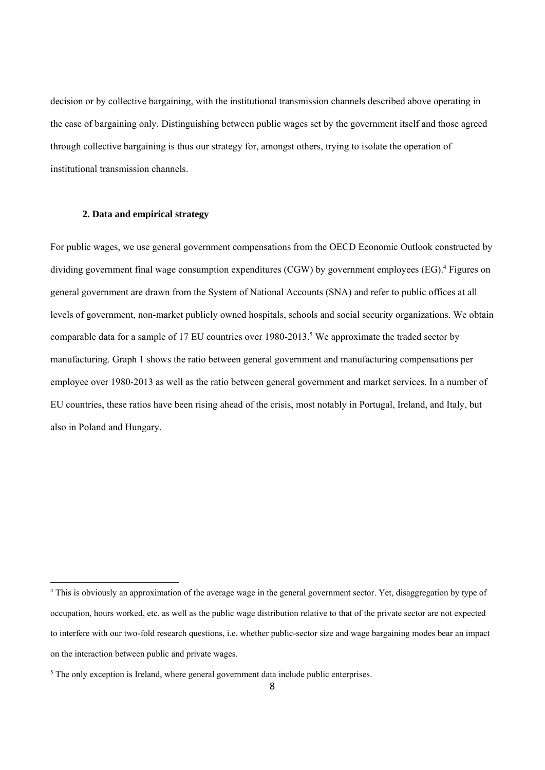decision or by collective bargaining, with the institutional transmission channels described above operating in the case of bargaining only. Distinguishing between public wages set by the government itself and those agreed through collective bargaining is thus our strategy for, amongst others, trying to isolate the operation of institutional transmission channels.

#### **2. Data and empirical strategy**

For public wages, we use general government compensations from the OECD Economic Outlook constructed by dividing government final wage consumption expenditures (CGW) by government employees (EG).<sup>4</sup> Figures on general government are drawn from the System of National Accounts (SNA) and refer to public offices at all levels of government, non-market publicly owned hospitals, schools and social security organizations. We obtain comparable data for a sample of 17 EU countries over 1980-2013.<sup>5</sup> We approximate the traded sector by manufacturing. Graph 1 shows the ratio between general government and manufacturing compensations per employee over 1980-2013 as well as the ratio between general government and market services. In a number of EU countries, these ratios have been rising ahead of the crisis, most notably in Portugal, Ireland, and Italy, but also in Poland and Hungary.

<sup>4</sup> This is obviously an approximation of the average wage in the general government sector. Yet, disaggregation by type of occupation, hours worked, etc. as well as the public wage distribution relative to that of the private sector are not expected to interfere with our two-fold research questions, i.e. whether public-sector size and wage bargaining modes bear an impact on the interaction between public and private wages.

<sup>&</sup>lt;sup>5</sup> The only exception is Ireland, where general government data include public enterprises.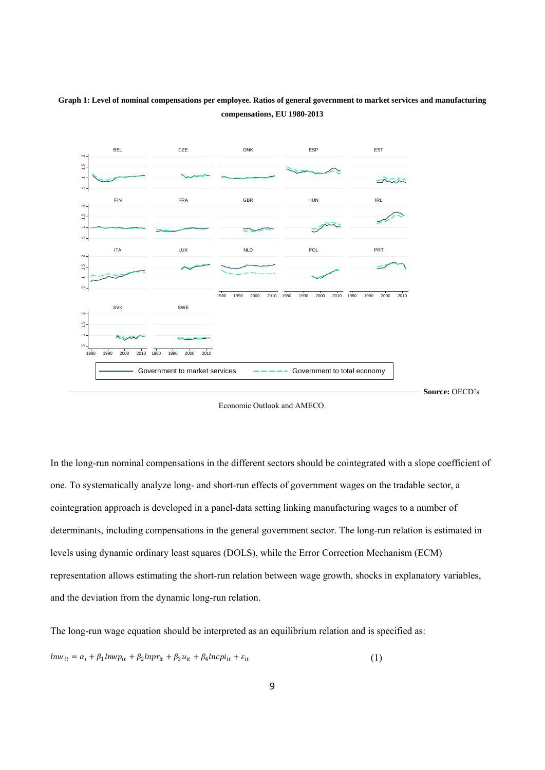

#### **Graph 1: Level of nominal compensations per employee. Ratios of general government to market services and manufacturing compensations, EU 1980-2013**

Economic Outlook and AMECO.

In the long-run nominal compensations in the different sectors should be cointegrated with a slope coefficient of one. To systematically analyze long- and short-run effects of government wages on the tradable sector, a cointegration approach is developed in a panel-data setting linking manufacturing wages to a number of determinants, including compensations in the general government sector. The long-run relation is estimated in levels using dynamic ordinary least squares (DOLS), while the Error Correction Mechanism (ECM) representation allows estimating the short-run relation between wage growth, shocks in explanatory variables, and the deviation from the dynamic long-run relation.

The long-run wage equation should be interpreted as an equilibrium relation and is specified as:  $ln w_{it} = \alpha_i + \beta_1 ln w p_{it} + \beta_2 ln p r_{it} + \beta_3 u_{it} + \beta_4 ln c p i_{it} + \varepsilon_{it}$  (1)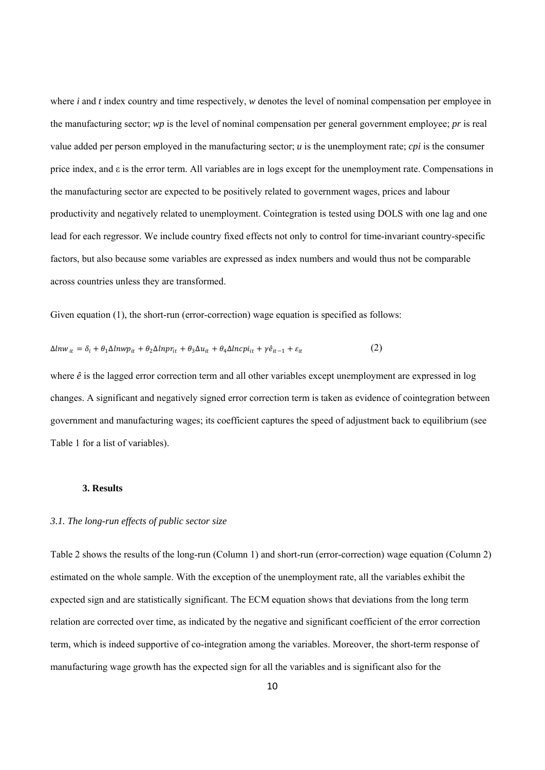where *i* and *t* index country and time respectively, *w* denotes the level of nominal compensation per employee in the manufacturing sector; *wp* is the level of nominal compensation per general government employee; *pr* is real value added per person employed in the manufacturing sector; *u* is the unemployment rate; *cpi* is the consumer price index, and ε is the error term. All variables are in logs except for the unemployment rate. Compensations in the manufacturing sector are expected to be positively related to government wages, prices and labour productivity and negatively related to unemployment. Cointegration is tested using DOLS with one lag and one lead for each regressor. We include country fixed effects not only to control for time-invariant country-specific factors, but also because some variables are expressed as index numbers and would thus not be comparable across countries unless they are transformed.

Given equation (1), the short-run (error-correction) wage equation is specified as follows:

$$
\Delta l n w_{it} = \delta_i + \theta_1 \Delta l n w p_{it} + \theta_2 \Delta l n p r_{it} + \theta_3 \Delta u_{it} + \theta_4 \Delta l n c p i_{it} + \gamma \hat{e}_{it-1} + \varepsilon_{it}
$$
\n(2)

where  $\hat{e}$  is the lagged error correction term and all other variables except unemployment are expressed in log changes. A significant and negatively signed error correction term is taken as evidence of cointegration between government and manufacturing wages; its coefficient captures the speed of adjustment back to equilibrium (see Table 1 for a list of variables).

#### **3. Results**

#### *3.1. The long-run effects of public sector size*

Table 2 shows the results of the long-run (Column 1) and short-run (error-correction) wage equation (Column 2) estimated on the whole sample. With the exception of the unemployment rate, all the variables exhibit the expected sign and are statistically significant. The ECM equation shows that deviations from the long term relation are corrected over time, as indicated by the negative and significant coefficient of the error correction term, which is indeed supportive of co-integration among the variables. Moreover, the short-term response of manufacturing wage growth has the expected sign for all the variables and is significant also for the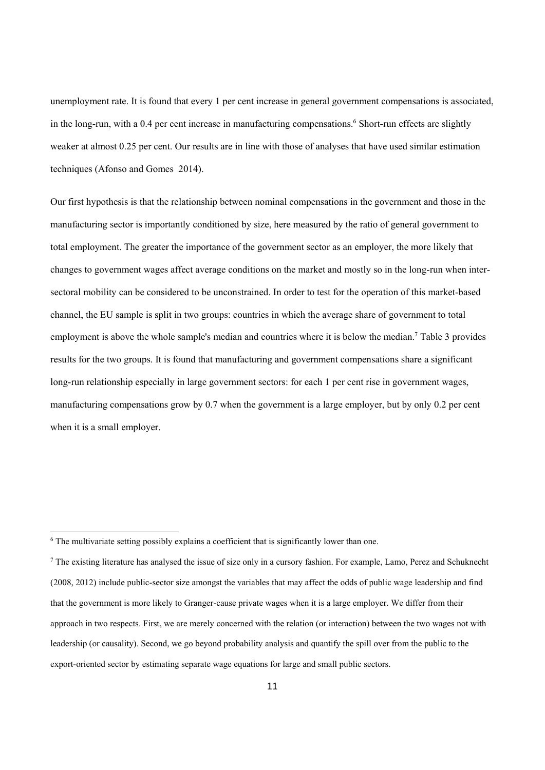unemployment rate. It is found that every 1 per cent increase in general government compensations is associated, in the long-run, with a 0.4 per cent increase in manufacturing compensations.<sup>6</sup> Short-run effects are slightly weaker at almost 0.25 per cent. Our results are in line with those of analyses that have used similar estimation techniques (Afonso and Gomes 2014).

Our first hypothesis is that the relationship between nominal compensations in the government and those in the manufacturing sector is importantly conditioned by size, here measured by the ratio of general government to total employment. The greater the importance of the government sector as an employer, the more likely that changes to government wages affect average conditions on the market and mostly so in the long-run when intersectoral mobility can be considered to be unconstrained. In order to test for the operation of this market-based channel, the EU sample is split in two groups: countries in which the average share of government to total employment is above the whole sample's median and countries where it is below the median.<sup>7</sup> Table 3 provides results for the two groups. It is found that manufacturing and government compensations share a significant long-run relationship especially in large government sectors: for each 1 per cent rise in government wages, manufacturing compensations grow by 0.7 when the government is a large employer, but by only 0.2 per cent when it is a small employer.

<sup>&</sup>lt;sup>6</sup> The multivariate setting possibly explains a coefficient that is significantly lower than one.

<sup>&</sup>lt;sup>7</sup> The existing literature has analysed the issue of size only in a cursory fashion. For example, Lamo, Perez and Schuknecht (2008, 2012) include public-sector size amongst the variables that may affect the odds of public wage leadership and find that the government is more likely to Granger-cause private wages when it is a large employer. We differ from their approach in two respects. First, we are merely concerned with the relation (or interaction) between the two wages not with leadership (or causality). Second, we go beyond probability analysis and quantify the spill over from the public to the export-oriented sector by estimating separate wage equations for large and small public sectors.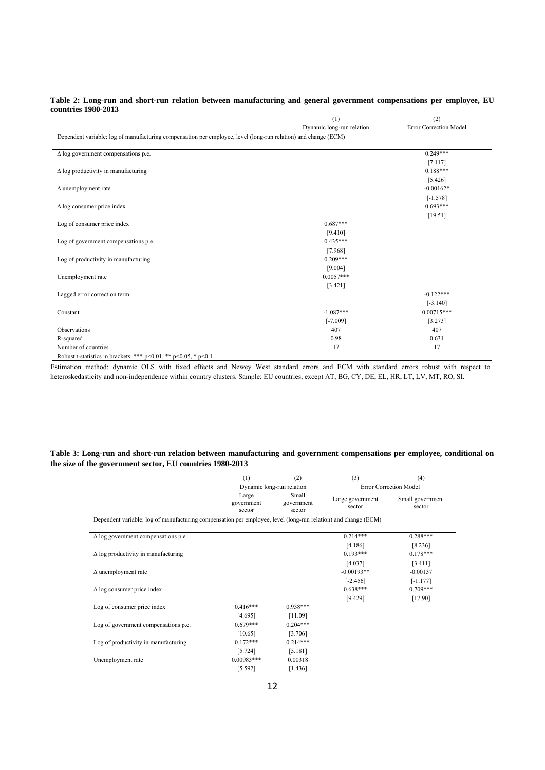#### **Table 2: Long-run and short-run relation between manufacturing and general government compensations per employee, EU countries 1980-2013**

|                                                                                                                | (1)                       | (2)                    |
|----------------------------------------------------------------------------------------------------------------|---------------------------|------------------------|
|                                                                                                                | Dynamic long-run relation | Error Correction Model |
| Dependent variable: log of manufacturing compensation per employee, level (long-run relation) and change (ECM) |                           |                        |
|                                                                                                                |                           |                        |
| $\Delta$ log government compensations p.e.                                                                     |                           | $0.249***$             |
|                                                                                                                |                           | [7.117]                |
| $\Delta$ log productivity in manufacturing                                                                     |                           | $0.188***$             |
|                                                                                                                |                           | [5.426]                |
| $\Delta$ unemployment rate                                                                                     |                           | $-0.00162*$            |
|                                                                                                                |                           | $[-1.578]$             |
| $\Delta$ log consumer price index                                                                              |                           | $0.693***$             |
|                                                                                                                |                           | [19.51]                |
| Log of consumer price index                                                                                    | $0.687***$                |                        |
|                                                                                                                | [9.410]                   |                        |
| Log of government compensations p.e.                                                                           | $0.435***$                |                        |
|                                                                                                                | [7.968]                   |                        |
| Log of productivity in manufacturing                                                                           | $0.209***$                |                        |
|                                                                                                                | [9.004]                   |                        |
| Unemployment rate                                                                                              | $0.0057***$               |                        |
|                                                                                                                | [3.421]                   |                        |
| Lagged error correction term                                                                                   |                           | $-0.122***$            |
|                                                                                                                |                           | $[-3.140]$             |
| Constant                                                                                                       | $-1.087***$               | $0.00715***$           |
|                                                                                                                | $[-7.009]$                | [3.273]                |
| Observations                                                                                                   | 407                       | 407                    |
| R-squared                                                                                                      | 0.98                      | 0.631                  |
| Number of countries                                                                                            | 17                        | 17                     |

Robust t-statistics in brackets: \*\*\*  $p<0.01$ , \*\*  $p<0.05$ , \*  $p<0.1$ 

Estimation method: dynamic OLS with fixed effects and Newey West standard errors and ECM with standard errors robust with respect to heteroskedasticity and non-independence within country clusters. Sample: EU countries, except AT, BG, CY, DE, EL, HR, LT, LV, MT, RO, SI.

#### **Table 3: Long-run and short-run relation between manufacturing and government compensations per employee, conditional on the size of the government sector, EU countries 1980-2013**

|                                                                                                                | (1)                           | (2)                           | (3)                           | (4)                        |
|----------------------------------------------------------------------------------------------------------------|-------------------------------|-------------------------------|-------------------------------|----------------------------|
|                                                                                                                |                               | Dynamic long-run relation     | <b>Error Correction Model</b> |                            |
|                                                                                                                | Large<br>government<br>sector | Small<br>government<br>sector | Large government<br>sector    | Small government<br>sector |
| Dependent variable: log of manufacturing compensation per employee, level (long-run relation) and change (ECM) |                               |                               |                               |                            |
|                                                                                                                |                               |                               |                               |                            |
| $\Delta$ log government compensations p.e.                                                                     |                               |                               | $0.214***$                    | $0.288***$                 |
|                                                                                                                |                               |                               | [4.186]                       | [8.236]                    |
| $\Delta$ log productivity in manufacturing                                                                     |                               |                               | $0.193***$                    | $0.178***$                 |
|                                                                                                                |                               |                               | [4.037]                       | [3.411]                    |
| $\Delta$ unemployment rate                                                                                     |                               |                               | $-0.00193**$                  | $-0.00137$                 |
|                                                                                                                |                               |                               | $[-2.456]$                    | $[-1.177]$                 |
| $\Delta$ log consumer price index                                                                              |                               |                               | $0.638***$                    | $0.709***$                 |
|                                                                                                                |                               |                               | [9.429]                       | [17.90]                    |
| Log of consumer price index                                                                                    | $0.416***$                    | $0.938***$                    |                               |                            |
|                                                                                                                | [4.695]                       | [11.09]                       |                               |                            |
| Log of government compensations p.e.                                                                           | $0.679***$                    | $0.204***$                    |                               |                            |
|                                                                                                                | [10.65]                       | [3.706]                       |                               |                            |
| Log of productivity in manufacturing                                                                           | $0.172***$                    | $0.214***$                    |                               |                            |
|                                                                                                                | [5.724]                       | [5.181]                       |                               |                            |
| Unemployment rate                                                                                              | $0.00983***$                  | 0.00318                       |                               |                            |
|                                                                                                                | [5.592]                       | [1.436]                       |                               |                            |
|                                                                                                                |                               |                               |                               |                            |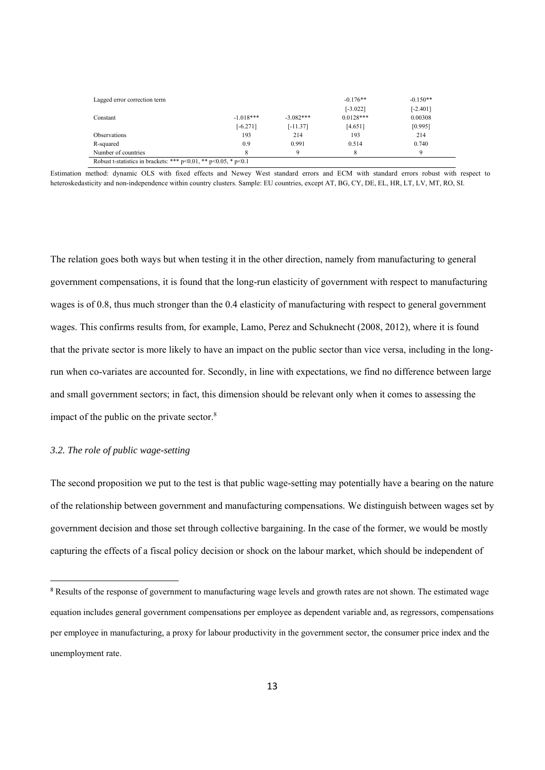| Lagged error correction term                                            |             |             | $-0.176**$  | $-0.150**$ |
|-------------------------------------------------------------------------|-------------|-------------|-------------|------------|
|                                                                         |             |             | $[-3.022]$  | $[-2.401]$ |
| Constant                                                                | $-1.018***$ | $-3.082***$ | $0.0128***$ | 0.00308    |
|                                                                         | $[-6.271]$  | $[-11.37]$  | [4.651]     | [0.995]    |
| Observations                                                            | 193         | 214         | 193         | 214        |
| R-squared                                                               | 0.9         | 0.991       | 0.514       | 0.740      |
| Number of countries                                                     | 8           | Q           |             | Q          |
| Robust t-statistics in brackets: *** $p<0.01$ , ** $p<0.05$ , * $p<0.1$ |             |             |             |            |

Estimation method: dynamic OLS with fixed effects and Newey West standard errors and ECM with standard errors robust with respect to heteroskedasticity and non-independence within country clusters. Sample: EU countries, except AT, BG, CY, DE, EL, HR, LT, LV, MT, RO, SI.

The relation goes both ways but when testing it in the other direction, namely from manufacturing to general government compensations, it is found that the long-run elasticity of government with respect to manufacturing wages is of 0.8, thus much stronger than the 0.4 elasticity of manufacturing with respect to general government wages. This confirms results from, for example, Lamo, Perez and Schuknecht (2008, 2012), where it is found that the private sector is more likely to have an impact on the public sector than vice versa, including in the longrun when co-variates are accounted for. Secondly, in line with expectations, we find no difference between large and small government sectors; in fact, this dimension should be relevant only when it comes to assessing the impact of the public on the private sector.<sup>8</sup>

#### *3.2. The role of public wage-setting*

The second proposition we put to the test is that public wage-setting may potentially have a bearing on the nature of the relationship between government and manufacturing compensations. We distinguish between wages set by government decision and those set through collective bargaining. In the case of the former, we would be mostly capturing the effects of a fiscal policy decision or shock on the labour market, which should be independent of

<sup>&</sup>lt;sup>8</sup> Results of the response of government to manufacturing wage levels and growth rates are not shown. The estimated wage equation includes general government compensations per employee as dependent variable and, as regressors, compensations per employee in manufacturing, a proxy for labour productivity in the government sector, the consumer price index and the unemployment rate.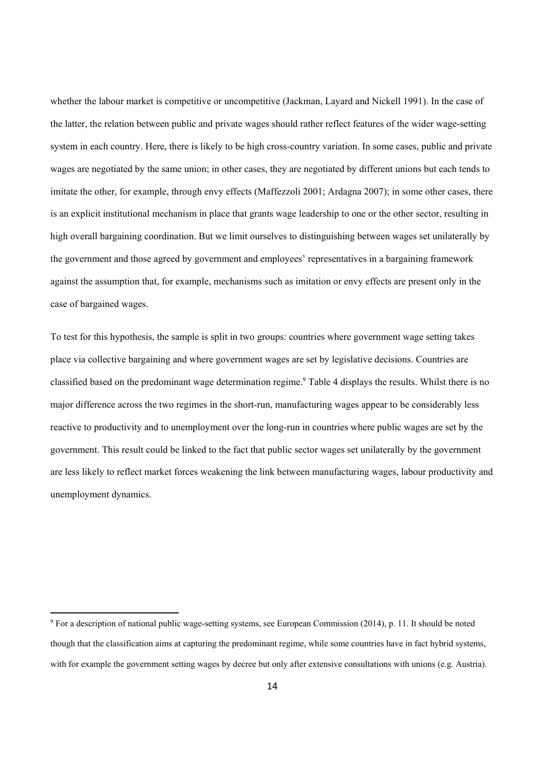whether the labour market is competitive or uncompetitive (Jackman, Layard and Nickell 1991). In the case of the latter, the relation between public and private wages should rather reflect features of the wider wage-setting system in each country. Here, there is likely to be high cross-country variation. In some cases, public and private wages are negotiated by the same union; in other cases, they are negotiated by different unions but each tends to imitate the other, for example, through envy effects (Maffezzoli 2001; Ardagna 2007); in some other cases, there is an explicit institutional mechanism in place that grants wage leadership to one or the other sector, resulting in high overall bargaining coordination. But we limit ourselves to distinguishing between wages set unilaterally by the government and those agreed by government and employees' representatives in a bargaining framework against the assumption that, for example, mechanisms such as imitation or envy effects are present only in the case of bargained wages.

To test for this hypothesis, the sample is split in two groups: countries where government wage setting takes place via collective bargaining and where government wages are set by legislative decisions. Countries are classified based on the predominant wage determination regime.<sup>9</sup> Table 4 displays the results. Whilst there is no major difference across the two regimes in the short-run, manufacturing wages appear to be considerably less reactive to productivity and to unemployment over the long-run in countries where public wages are set by the government. This result could be linked to the fact that public sector wages set unilaterally by the government are less likely to reflect market forces weakening the link between manufacturing wages, labour productivity and unemployment dynamics.

<sup>&</sup>lt;sup>9</sup> For a description of national public wage-setting systems, see European Commission (2014), p. 11. It should be noted though that the classification aims at capturing the predominant regime, while some countries have in fact hybrid systems, with for example the government setting wages by decree but only after extensive consultations with unions (e.g. Austria).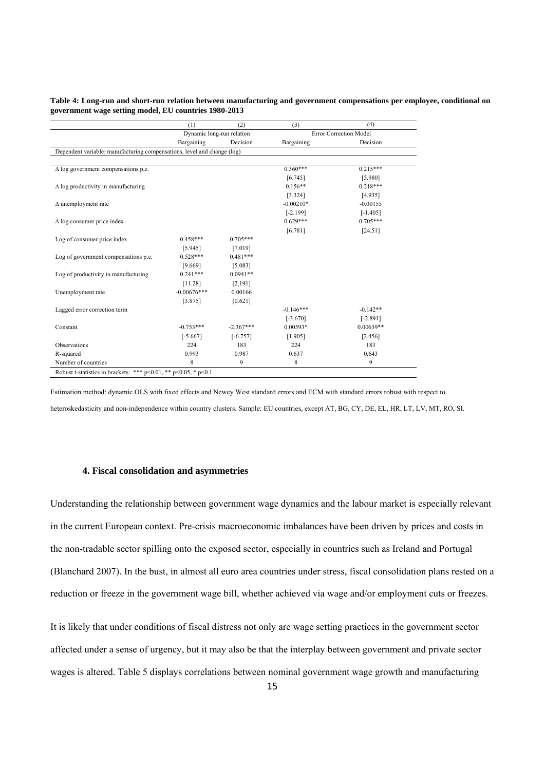#### **Table 4: Long-run and short-run relation between manufacturing and government compensations per employee, conditional on government wage setting model, EU countries 1980-2013**

|                                                                         | (1)           | (2)                       | (3)         | (4)                    |
|-------------------------------------------------------------------------|---------------|---------------------------|-------------|------------------------|
|                                                                         |               | Dynamic long-run relation |             | Error Correction Model |
|                                                                         | Bargaining    | Decision                  | Bargaining  | Decision               |
| Dependent variable: manufacturing compensations, level and change (log) |               |                           |             |                        |
|                                                                         |               |                           |             |                        |
| $\Delta$ log government compensations p.e.                              |               |                           | $0.360***$  | $0.215***$             |
|                                                                         |               |                           | [6.745]     | [5.980]                |
| $\Delta$ log productivity in manufacturing                              |               |                           | $0.156**$   | $0.218***$             |
|                                                                         |               |                           | [3.324]     | [4.935]                |
| $\Delta$ unemployment rate                                              |               |                           | $-0.00210*$ | $-0.00155$             |
|                                                                         |               |                           | $[-2.199]$  | $[-1.405]$             |
| $\Delta$ log consumer price index                                       |               |                           | $0.629***$  | $0.705***$             |
|                                                                         |               |                           | [6.781]     | [24.51]                |
| Log of consumer price index                                             | $0.458***$    | $0.705***$                |             |                        |
|                                                                         | [5.945]       | [7.019]                   |             |                        |
| Log of government compensations p.e.                                    | $0.528***$    | $0.481***$                |             |                        |
|                                                                         | [9.669]       | [5.083]                   |             |                        |
| Log of productivity in manufacturing                                    | $0.241***$    | $0.0941**$                |             |                        |
|                                                                         | [11.28]       | [2.191]                   |             |                        |
| Unemployment rate                                                       | $-0.00676***$ | 0.00166                   |             |                        |
|                                                                         | [3.875]       | [0.621]                   |             |                        |
| Lagged error correction term                                            |               |                           | $-0.146***$ | $-0.142**$             |
|                                                                         |               |                           | $[-3.670]$  | $[-2.891]$             |
| Constant                                                                | $-0.753***$   | $-2.367***$               | $0.00593*$  | $0.00639**$            |
|                                                                         | $[-5.667]$    | $[-6.757]$                | [1.905]     | [2.456]                |
| Observations                                                            | 224           | 183                       | 224         | 183                    |
| R-squared                                                               | 0.993         | 0.987                     | 0.637       | 0.643                  |
| Number of countries                                                     | 8             | 9                         | 8           | 9                      |
| Robust t-statistics in brackets: *** p<0.01, ** p<0.05, * p<0.1         |               |                           |             |                        |

Estimation method: dynamic OLS with fixed effects and Newey West standard errors and ECM with standard errors robust with respect to heteroskedasticity and non-independence within country clusters. Sample: EU countries, except AT, BG, CY, DE, EL, HR, LT, LV, MT, RO, SI.

#### **4. Fiscal consolidation and asymmetries**

Understanding the relationship between government wage dynamics and the labour market is especially relevant in the current European context. Pre-crisis macroeconomic imbalances have been driven by prices and costs in the non-tradable sector spilling onto the exposed sector, especially in countries such as Ireland and Portugal (Blanchard 2007). In the bust, in almost all euro area countries under stress, fiscal consolidation plans rested on a reduction or freeze in the government wage bill, whether achieved via wage and/or employment cuts or freezes.

It is likely that under conditions of fiscal distress not only are wage setting practices in the government sector affected under a sense of urgency, but it may also be that the interplay between government and private sector wages is altered. Table 5 displays correlations between nominal government wage growth and manufacturing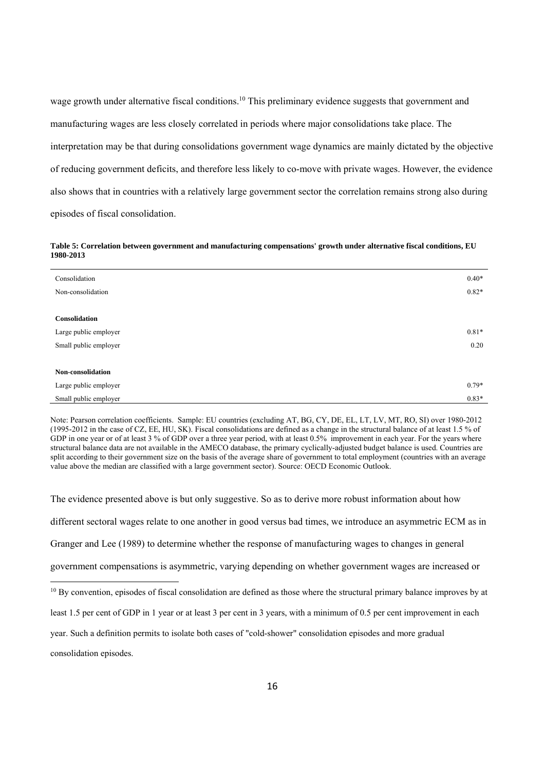wage growth under alternative fiscal conditions.<sup>10</sup> This preliminary evidence suggests that government and manufacturing wages are less closely correlated in periods where major consolidations take place. The interpretation may be that during consolidations government wage dynamics are mainly dictated by the objective of reducing government deficits, and therefore less likely to co-move with private wages. However, the evidence also shows that in countries with a relatively large government sector the correlation remains strong also during episodes of fiscal consolidation.

**Table 5: Correlation between government and manufacturing compensations' growth under alternative fiscal conditions, EU 1980-2013** 

| Consolidation         | $0.40*$ |
|-----------------------|---------|
| Non-consolidation     | $0.82*$ |
|                       |         |
| <b>Consolidation</b>  |         |
| Large public employer | $0.81*$ |
| Small public employer | 0.20    |
|                       |         |
| Non-consolidation     |         |
| Large public employer | $0.79*$ |
| Small public employer | $0.83*$ |

Note: Pearson correlation coefficients. Sample: EU countries (excluding AT, BG, CY, DE, EL, LT, LV, MT, RO, SI) over 1980-2012 (1995-2012 in the case of CZ, EE, HU, SK). Fiscal consolidations are defined as a change in the structural balance of at least 1.5 % of GDP in one year or of at least 3 % of GDP over a three year period, with at least 0.5% improvement in each year. For the years where structural balance data are not available in the AMECO database, the primary cyclically-adjusted budget balance is used. Countries are split according to their government size on the basis of the average share of government to total employment (countries with an average value above the median are classified with a large government sector). Source: OECD Economic Outlook.

The evidence presented above is but only suggestive. So as to derive more robust information about how different sectoral wages relate to one another in good versus bad times, we introduce an asymmetric ECM as in Granger and Lee (1989) to determine whether the response of manufacturing wages to changes in general government compensations is asymmetric, varying depending on whether government wages are increased or 

year. Such a definition permits to isolate both cases of "cold-shower" consolidation episodes and more gradual

consolidation episodes.

 $10$  By convention, episodes of fiscal consolidation are defined as those where the structural primary balance improves by at

least 1.5 per cent of GDP in 1 year or at least 3 per cent in 3 years, with a minimum of 0.5 per cent improvement in each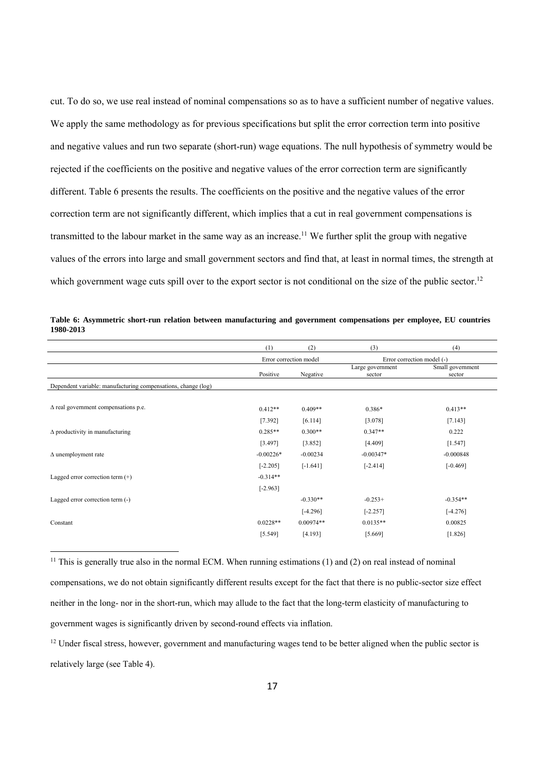cut. To do so, we use real instead of nominal compensations so as to have a sufficient number of negative values. We apply the same methodology as for previous specifications but split the error correction term into positive and negative values and run two separate (short-run) wage equations. The null hypothesis of symmetry would be rejected if the coefficients on the positive and negative values of the error correction term are significantly different. Table 6 presents the results. The coefficients on the positive and the negative values of the error correction term are not significantly different, which implies that a cut in real government compensations is transmitted to the labour market in the same way as an increase.11 We further split the group with negative values of the errors into large and small government sectors and find that, at least in normal times, the strength at which government wage cuts spill over to the export sector is not conditional on the size of the public sector.<sup>12</sup>

|                                                               | (1)                    | (2)         | (3)                        | (4)                        |
|---------------------------------------------------------------|------------------------|-------------|----------------------------|----------------------------|
|                                                               | Error correction model |             | Error correction model (-) |                            |
|                                                               | Positive               | Negative    | Large government<br>sector | Small government<br>sector |
| Dependent variable: manufacturing compensations, change (log) |                        |             |                            |                            |
|                                                               |                        |             |                            |                            |
| $\Delta$ real government compensations p.e.                   | $0.412**$              | $0.409**$   | $0.386*$                   | $0.413**$                  |
|                                                               | [7.392]                | [6.114]     | [3.078]                    | [7.143]                    |
| $\Delta$ productivity in manufacturing                        | $0.285**$              | $0.300**$   | $0.347**$                  | 0.222                      |
|                                                               | [3.497]                | [3.852]     | [4.409]                    | [1.547]                    |
| $\Delta$ unemployment rate                                    | $-0.00226*$            | $-0.00234$  | $-0.00347*$                | $-0.000848$                |
|                                                               | $[-2.205]$             | $[-1.641]$  | $[-2.414]$                 | $[-0.469]$                 |
| Lagged error correction term $(+)$                            | $-0.314**$             |             |                            |                            |
|                                                               | $[-2.963]$             |             |                            |                            |
| Lagged error correction term (-)                              |                        | $-0.330**$  | $-0.253+$                  | $-0.354**$                 |
|                                                               |                        | $[-4.296]$  | $[-2.257]$                 | $[-4.276]$                 |
| Constant                                                      | $0.0228**$             | $0.00974**$ | $0.0135**$                 | 0.00825                    |
|                                                               | [5.549]                | [4.193]     | [5.669]                    | [1.826]                    |
|                                                               |                        |             |                            |                            |

**Table 6: Asymmetric short-run relation between manufacturing and government compensations per employee, EU countries 1980-2013** 

<sup>11</sup> This is generally true also in the normal ECM. When running estimations (1) and (2) on real instead of nominal compensations, we do not obtain significantly different results except for the fact that there is no public-sector size effect neither in the long- nor in the short-run, which may allude to the fact that the long-term elasticity of manufacturing to government wages is significantly driven by second-round effects via inflation.

<sup>12</sup> Under fiscal stress, however, government and manufacturing wages tend to be better aligned when the public sector is relatively large (see Table 4).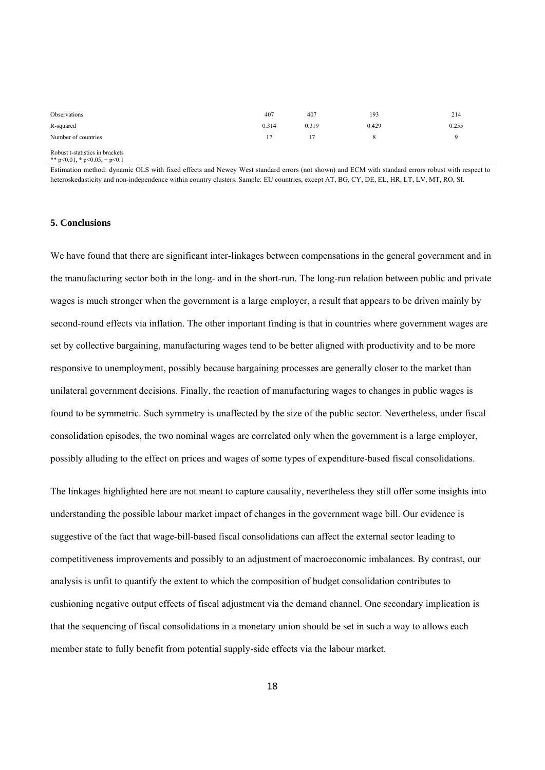| Observations                    | 407   | 407   | 193   | 214   |
|---------------------------------|-------|-------|-------|-------|
| R-squared                       | 0.314 | 0.319 | 0.429 | 0.255 |
| Number of countries             | 17    |       |       |       |
| Robust t-statistics in brackets |       |       |       |       |

Robust t-statistics in brackets<br>\*\*  $p<0.01$ , \*  $p<0.05$ , +  $p<0.1$ 

Estimation method: dynamic OLS with fixed effects and Newey West standard errors (not shown) and ECM with standard errors robust with respect to heteroskedasticity and non-independence within country clusters. Sample: EU countries, except AT, BG, CY, DE, EL, HR, LT, LV, MT, RO, SI.

#### **5. Conclusions**

We have found that there are significant inter-linkages between compensations in the general government and in the manufacturing sector both in the long- and in the short-run. The long-run relation between public and private wages is much stronger when the government is a large employer, a result that appears to be driven mainly by second-round effects via inflation. The other important finding is that in countries where government wages are set by collective bargaining, manufacturing wages tend to be better aligned with productivity and to be more responsive to unemployment, possibly because bargaining processes are generally closer to the market than unilateral government decisions. Finally, the reaction of manufacturing wages to changes in public wages is found to be symmetric. Such symmetry is unaffected by the size of the public sector. Nevertheless, under fiscal consolidation episodes, the two nominal wages are correlated only when the government is a large employer, possibly alluding to the effect on prices and wages of some types of expenditure-based fiscal consolidations.

The linkages highlighted here are not meant to capture causality, nevertheless they still offer some insights into understanding the possible labour market impact of changes in the government wage bill. Our evidence is suggestive of the fact that wage-bill-based fiscal consolidations can affect the external sector leading to competitiveness improvements and possibly to an adjustment of macroeconomic imbalances. By contrast, our analysis is unfit to quantify the extent to which the composition of budget consolidation contributes to cushioning negative output effects of fiscal adjustment via the demand channel. One secondary implication is that the sequencing of fiscal consolidations in a monetary union should be set in such a way to allows each member state to fully benefit from potential supply-side effects via the labour market.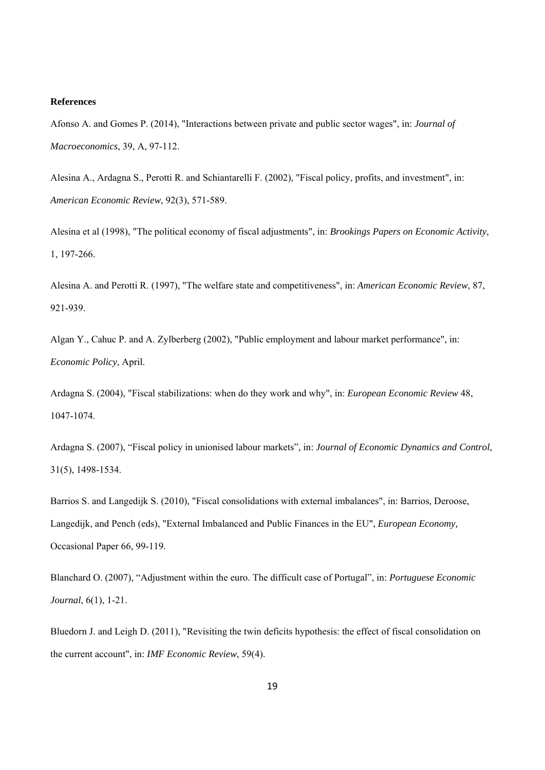#### **References**

Afonso A. and Gomes P. (2014), "Interactions between private and public sector wages", in: *Journal of Macroeconomics*, 39, A, 97-112.

Alesina A., Ardagna S., Perotti R. and Schiantarelli F. (2002), "Fiscal policy, profits, and investment", in: *American Economic Review*, 92(3), 571-589.

Alesina et al (1998), "The political economy of fiscal adjustments", in: *Brookings Papers on Economic Activity*, 1, 197-266.

Alesina A. and Perotti R. (1997), "The welfare state and competitiveness", in: *American Economic Review*, 87, 921-939.

Algan Y., Cahuc P. and A. Zylberberg (2002), "Public employment and labour market performance", in: *Economic Policy*, April.

Ardagna S. (2004), "Fiscal stabilizations: when do they work and why", in: *European Economic Review* 48, 1047-1074.

Ardagna S. (2007), "Fiscal policy in unionised labour markets", in: *Journal of Economic Dynamics and Control*, 31(5), 1498-1534.

Barrios S. and Langedijk S. (2010), "Fiscal consolidations with external imbalances", in: Barrios, Deroose, Langedijk, and Pench (eds), "External Imbalanced and Public Finances in the EU", *European Economy,*  Occasional Paper 66, 99-119.

Blanchard O. (2007), "Adjustment within the euro. The difficult case of Portugal", in: *Portuguese Economic Journal*, 6(1), 1-21.

Bluedorn J. and Leigh D. (2011), "Revisiting the twin deficits hypothesis: the effect of fiscal consolidation on the current account", in: *IMF Economic Review*, 59(4).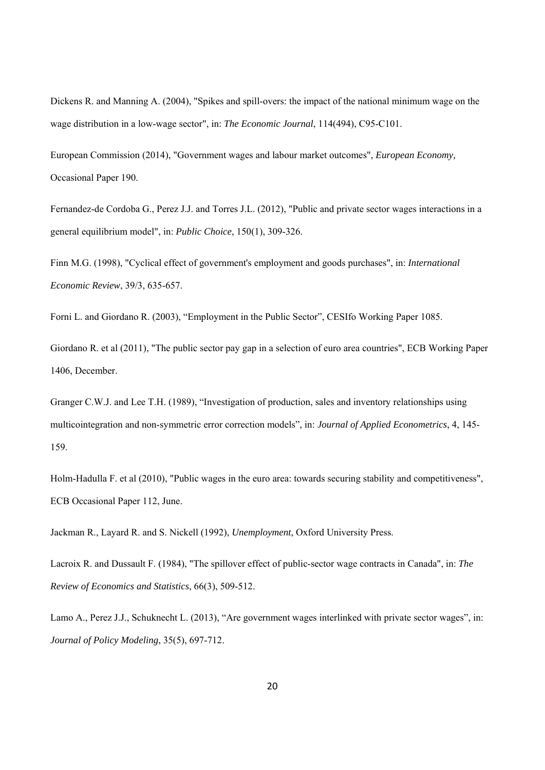Dickens R. and Manning A. (2004), "Spikes and spill-overs: the impact of the national minimum wage on the wage distribution in a low-wage sector", in: *The Economic Journal*, 114(494), C95-C101.

European Commission (2014), "Government wages and labour market outcomes", *European Economy,* Occasional Paper 190.

Fernandez-de Cordoba G., Perez J.J. and Torres J.L. (2012), "Public and private sector wages interactions in a general equilibrium model", in: *Public Choice*, 150(1), 309-326.

Finn M.G. (1998), "Cyclical effect of government's employment and goods purchases", in: *International Economic Review*, 39/3, 635-657.

Forni L. and Giordano R. (2003), "Employment in the Public Sector", CESIfo Working Paper 1085.

Giordano R. et al (2011), "The public sector pay gap in a selection of euro area countries", ECB Working Paper 1406, December.

Granger C.W.J. and Lee T.H. (1989), "Investigation of production, sales and inventory relationships using multicointegration and non-symmetric error correction models", in: *Journal of Applied Econometrics*, 4, 145- 159.

Holm-Hadulla F. et al (2010), "Public wages in the euro area: towards securing stability and competitiveness", ECB Occasional Paper 112, June.

Jackman R., Layard R. and S. Nickell (1992), *Unemployment*, Oxford University Press.

Lacroix R. and Dussault F. (1984), "The spillover effect of public-sector wage contracts in Canada", in: *The Review of Economics and Statistics*, 66(3), 509-512.

Lamo A., Perez J.J., Schuknecht L. (2013), "Are government wages interlinked with private sector wages", in: *Journal of Policy Modeling*, 35(5), 697-712.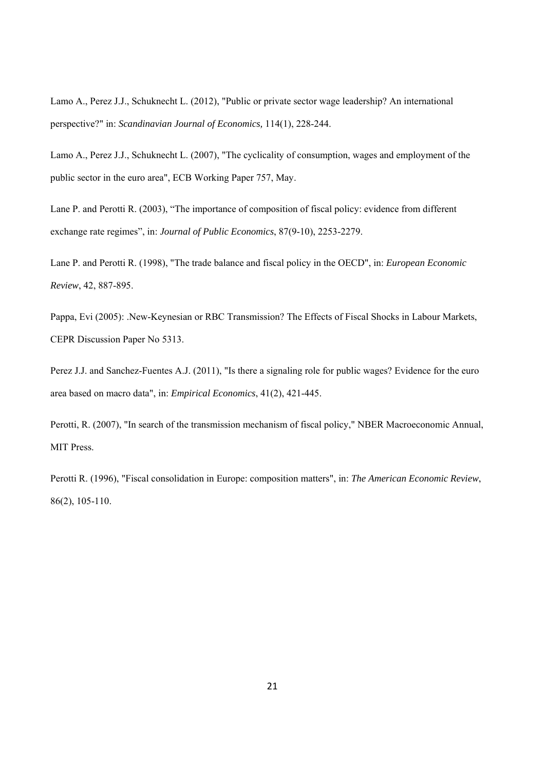Lamo A., Perez J.J., Schuknecht L. (2012), "Public or private sector wage leadership? An international perspective?" in: *Scandinavian Journal of Economics,* 114(1), 228-244.

Lamo A., Perez J.J., Schuknecht L. (2007), "The cyclicality of consumption, wages and employment of the public sector in the euro area", ECB Working Paper 757, May.

Lane P. and Perotti R. (2003), "The importance of composition of fiscal policy: evidence from different exchange rate regimes", in: *Journal of Public Economics*, 87(9-10), 2253-2279.

Lane P. and Perotti R. (1998), "The trade balance and fiscal policy in the OECD", in: *European Economic Review*, 42, 887-895.

Pappa, Evi (2005): .New-Keynesian or RBC Transmission? The Effects of Fiscal Shocks in Labour Markets, CEPR Discussion Paper No 5313.

Perez J.J. and Sanchez-Fuentes A.J. (2011), "Is there a signaling role for public wages? Evidence for the euro area based on macro data", in: *Empirical Economics*, 41(2), 421-445.

Perotti, R. (2007), "In search of the transmission mechanism of fiscal policy," NBER Macroeconomic Annual, MIT Press.

Perotti R. (1996), "Fiscal consolidation in Europe: composition matters", in: *The American Economic Review*, 86(2), 105-110.